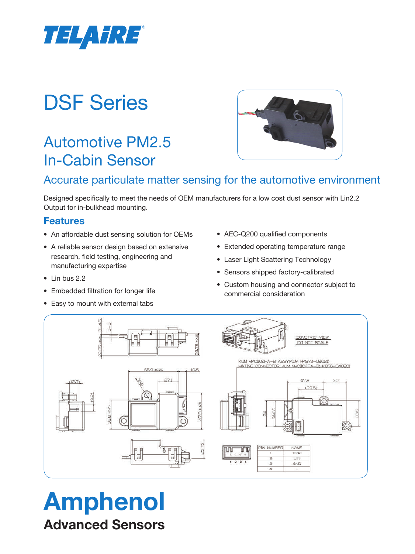

# DSF Series

## Automotive PM2.5 In-Cabin Sensor



### Accurate particulate matter sensing for the automotive environment

Designed specifically to meet the needs of OEM manufacturers for a low cost dust sensor with Lin2.2 Output for in-bulkhead mounting.

### **Features**

- An affordable dust sensing solution for OEMs
- A reliable sensor design based on extensive research, field testing, engineering and manufacturing expertise
- Lin bus 2.2
- Embedded filtration for longer life
- Easy to mount with external tabs
- AEC-Q200 qualified components
- Extended operating temperature range
- Laser Light Scattering Technology
- Sensors shipped factory-calibrated
- Custom housing and connector subject to commercial consideration



# Amphenol Advanced Sensors